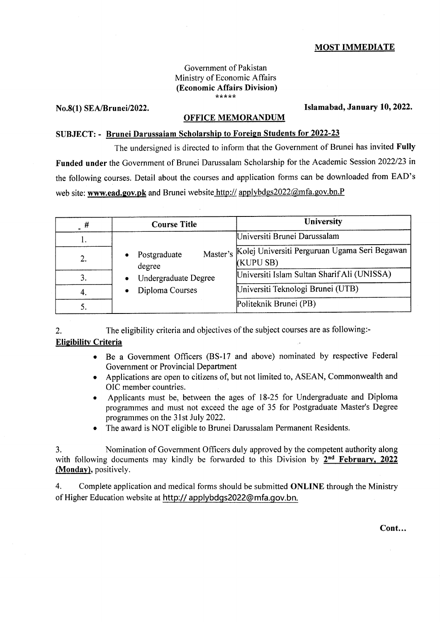# MOST IMMEDIATE

## Government of Pakistan Ministry of Economic Affairs (Economic Affairs Division)  $* * * * *$

# OFFICE MEMORANDUM

No.8(1) SEA/Brunei/2022. Islamabad, January 10, 2022.

## SUBJECT: - Brunei Darussaiam Scholarship to Foreign Students for 2022-23

The undersigned is directed to inform that the Government of Brunei has invited Fully Funded under the Government of Brunei Darussalam Scholarship for the Academic Session 2022123 in the following courses. Detail about the courses and application forms can be downloaded from EAD's web site: www.ead.gov.pk and Brunei website http:// applybdgs2022@mfa.gov.bn.P

| #  | <b>Course Title</b>                               | University                                             |
|----|---------------------------------------------------|--------------------------------------------------------|
|    |                                                   | Universiti Brunei Darussalam                           |
|    | Postgraduate                                      | Master's Kolej Universiti Perguruan Ugama Seri Begawan |
| 2. | degree<br>Undergraduate Degree<br>Diploma Courses | (KUPU SB)                                              |
| 3. |                                                   | Universiti Islam Sultan Sharif Ali (UNISSA)            |
| 4. |                                                   | Universiti Teknologi Brunei (UTB)                      |
|    |                                                   | Politeknik Brunei (PB)                                 |

2. The eligibility criteria and objectives of the subject courses are as following:- Elieibilitv Criteria

- Be a Government Officers (BS-17 and above) nominated by respective Federal Government or Provincial Department
- o Applications are open to citizens of, but not limited to, ASEAN, Commonwealth and OIC member countries.
- . Applicants must be, between the ages of 18-25 for Undergraduate and Diploma programmes and must not exceed the age of 35 for Postgraduate Master's Degree programmes on the 31st July 2022.
- . The award is NOT eligible to Brunei Darussalam Permanent Residents.

3. Nomination of Government Officers duly approved by the competent authority along with following documents may kindly be forwarded to this Division by  $2<sup>nd</sup>$  February, 2022 (Monday), positively.

4. Complete application and medical forms should be submitted **ONLINE** through the Ministry of Higher Education website at http:// applybdqs2022@mfa.qov.bn.

Cont...